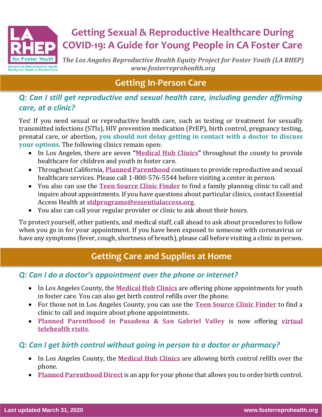

# **Getting Sexual & Reproductive Healthcare During COVID-19: A Guide for Young People in CA Foster Care**

*The Los Angeles Reproductive Health Equity Project for Foster Youth (LA RHEP) www.fosterreprohealth.org*

# **Getting In-Person Care**

#### *Q: Can I still get reproductive and sexual health care, including gender affirming care, at a clinic?*

Yes! If you need sexual or reproductive health care, such as testing or treatment for sexually transmitted infections (STIs), HIV prevention medication (PrEP), birth control, pregnancy testing, prenatal care, or abortion, **you should not delay getting in contact with a doctor to discuss your options**. The following clinics remain open:

- In Los Angeles, there are seven **"[Medical Hub Clinics](https://bit.ly/33GLmUK)"** throughout the county to provide healthcare for children and youth in foster care.
- Throughout California, **[Planned Parenthood](https://www.plannedparenthood.org/health-center?gclid=EAIaIQobChMI29iD0Y236AIVhL7ICh0IuQRyEAAYASABEgLcv_D_BwE)** continues to provide reproductive and sexual healthcare services. Please call 1-800-576-5544 before visiting a center in person.
- You also can use the **[Teen Source Clinic Finder](https://www.teensource.org/find-a-clinic)** to find a family planning clinic to call and inquire about appointments. If you have questions about particular clinics, contact Essential Access Health at **[stdprograms@essentialaccess.org](mailto:stdprograms@essentialaccess.org)**.
- You also can call your regular provider or clinic to ask about their hours.

To protect yourself, other patients, and medical staff, call ahead to ask about procedures to follow when you go in for your appointment. If you have been exposed to someone with coronavirus or have any symptoms (fever, cough, shortness of breath), please call before visiting a clinic in person.

# **Getting Care and Supplies at Home**

## *Q: Can I do a doctor's appointment over the phone or internet?*

- In Los Angeles County, the **[Medical Hub Clinics](https://bit.ly/33GLmUK)** are offering phone appointments for youth in foster care. You can also get birth control refills over the phone.
- For those not in Los Angeles County, you can use the **[Teen Source Clinic Finder](https://www.teensource.org/find-a-clinic)** to find a clinic to call and inquire about phone appointments.
- **Planned Parenthood in Pasadena & San Gabriel Valley** is now offering **[virtual](https://www.plannedparenthood.org/planned-parenthood-pasadena-san-gabriel-valley/online-health-services/telehealth?emci=dc89bff2-766f-ea11-a94c-00155d03b1e8&emdi=1075ac28-7a6f-ea11-a94c-00155d03b1e8&ceid=14447367)  [telehealth visits](https://www.plannedparenthood.org/planned-parenthood-pasadena-san-gabriel-valley/online-health-services/telehealth?emci=dc89bff2-766f-ea11-a94c-00155d03b1e8&emdi=1075ac28-7a6f-ea11-a94c-00155d03b1e8&ceid=14447367)**.

## *Q: Can I get birth control without going in person to a doctor or pharmacy?*

- In Los Angeles County, the **[Medical Hub Clinics](https://bit.ly/33GLmUK)** are allowing birth control refills over the phone.
- **[Planned Parenthood Direct](https://www.plannedparenthood.org/get-care/get-care-online)** is an app for your phone that allows you to order birth control.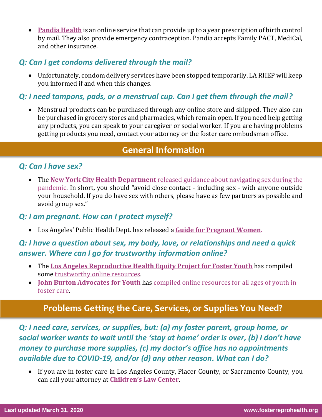• **[Pandia Health](https://www.pandiahealth.com/faq/)** is an online service that can provide up to a year prescription of birth control by mail. They also provide emergency contraception. Pandia accepts Family PACT, MediCal, and other insurance.

#### *Q: Can I get condoms delivered through the mail?*

• Unfortunately, condom delivery services have been stopped temporarily. LA RHEP will keep you informed if and when this changes.

#### *Q: I need tampons, pads, or a menstrual cup. Can I get them through the mail?*

• Menstrual products can be purchased through any online store and shipped. They also can be purchased in grocery stores and pharmacies, which remain open. If you need help getting any products, you can speak to your caregiver or social worker. If you are having problems getting products you need, contact your attorney or the foster care ombudsman office.

# **General Information**

#### *Q: Can I have sex?*

• The **[New York City Health Department](https://www1.nyc.gov/assets/doh/downloads/pdf/imm/covid-sex-guidance.pdf)** [released guidance about navigating sex during the](https://www1.nyc.gov/assets/doh/downloads/pdf/imm/covid-sex-guidance.pdf)  [pandemic](https://www1.nyc.gov/assets/doh/downloads/pdf/imm/covid-sex-guidance.pdf). In short, you should "avoid close contact - including sex - with anyone outside your household. If you do have sex with others, please have as few partners as possible and avoid group sex."

#### *Q: I am pregnant. How can I protect myself?*

• Los Angeles' Public Health Dept. has released a **[Guide for Pregnant Women.](http://publichealth.lacounty.gov/media/coronavirus/GuidancePregnantWomen.pdf)**

## *Q: I have a question about sex, my body, love, or relationships and need a quick answer. Where can I go for trustworthy information online?*

- The **[Los Angeles Reproductive Health Equity Project for Foster Youth](http://www.fosterreprohealth.org/)** has compiled some [trustworthy online resources.](https://fosterreprohealth.org/wp-content/uploads/2018/04/Trustworthy-Sexual-and-Reproductive-Health-Care-Resources.pdf)
- **John Burton Advocates for Youth** has [compiled online resources for all ages of youth in](http://tinyurl.com/SexEd4Youth)  [foster care.](http://tinyurl.com/SexEd4Youth)

# **Problems Getting the Care, Services, or Supplies You Need?**

*Q: I need care, services, or supplies, but: (a) my foster parent, group home, or social worker wants to wait until the 'stay at home' order is over, (b) I don't have money to purchase more supplies, (c) my doctor's office has no appointments available due to COVID-19, and/or (d) any other reason. What can I do?*

• If you are in foster care in Los Angeles County, Placer County, or Sacramento County, you can call your attorney at **[Children's Law Center](https://www.clccal.org/contactus)**.